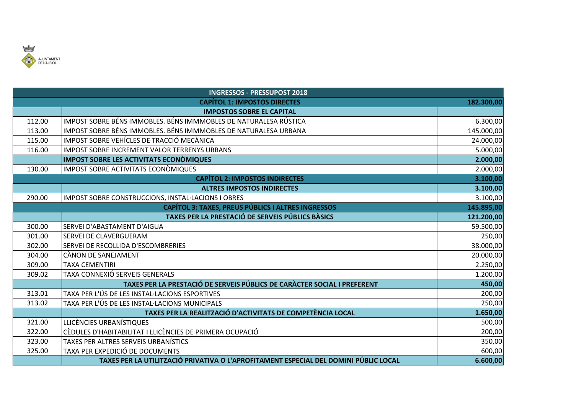

| <b>INGRESSOS - PRESSUPOST 2018</b>                                      |                                                                                      |            |  |  |
|-------------------------------------------------------------------------|--------------------------------------------------------------------------------------|------------|--|--|
| <b>CAPÍTOL 1: IMPOSTOS DIRECTES</b>                                     |                                                                                      |            |  |  |
|                                                                         | <b>IMPOSTOS SOBRE EL CAPITAL</b>                                                     |            |  |  |
| 112.00                                                                  | IMPOST SOBRE BÉNS IMMOBLES. BÉNS IMMMOBLES DE NATURALESA RÚSTICA                     | 6.300,00   |  |  |
| 113.00                                                                  | IMPOST SOBRE BÉNS IMMOBLES. BÉNS IMMMOBLES DE NATURALESA URBANA                      | 145.000,00 |  |  |
| 115.00                                                                  | IMPOST SOBRE VEHÍCLES DE TRACCIÓ MECÀNICA                                            | 24.000,00  |  |  |
| 116.00                                                                  | IMPOST SOBRE INCREMENT VALOR TERRENYS URBANS                                         | 5.000,00   |  |  |
|                                                                         | <b>IMPOST SOBRE LES ACTIVITATS ECONOMIQUES</b>                                       | 2.000,00   |  |  |
| 130.00                                                                  | IMPOST SOBRE ACTIVITATS ECONOMIQUES                                                  | 2.000,00   |  |  |
| <b>CAPÍTOL 2: IMPOSTOS INDIRECTES</b><br>3.100,00                       |                                                                                      |            |  |  |
|                                                                         | <b>ALTRES IMPOSTOS INDIRECTES</b>                                                    | 3.100,00   |  |  |
| 290.00                                                                  | IMPOST SOBRE CONSTRUCCIONS, INSTAL·LACIONS I OBRES                                   | 3.100,00   |  |  |
| <b>CAPÍTOL 3: TAXES, PREUS PÚBLICS I ALTRES INGRESSOS</b><br>145.895,00 |                                                                                      |            |  |  |
|                                                                         | TAXES PER LA PRESTACIÓ DE SERVEIS PÚBLICS BÀSICS                                     | 121.200,00 |  |  |
| 300.00                                                                  | SERVEI D'ABASTAMENT D'AIGUA                                                          | 59.500,00  |  |  |
| 301.00                                                                  | SERVEI DE CLAVERGUERAM                                                               | 250,00     |  |  |
| 302.00                                                                  | SERVEI DE RECOLLIDA D'ESCOMBRERIES                                                   | 38.000,00  |  |  |
| 304.00                                                                  | CÀNON DE SANEJAMENT                                                                  | 20.000,00  |  |  |
| 309.00                                                                  | <b>TAXA CEMENTIRI</b>                                                                | 2.250,00   |  |  |
| 309.02                                                                  | TAXA CONNEXIÓ SERVEIS GENERALS                                                       | 1.200,00   |  |  |
|                                                                         | TAXES PER LA PRESTACIÓ DE SERVEIS PÚBLICS DE CARÀCTER SOCIAL I PREFERENT             | 450,00     |  |  |
| 313.01                                                                  | TAXA PER L'ÚS DE LES INSTAL·LACIONS ESPORTIVES                                       | 200,00     |  |  |
| 313.02                                                                  | TAXA PER L'ÚS DE LES INSTAL·LACIONS MUNICIPALS                                       | 250,00     |  |  |
|                                                                         | TAXES PER LA REALITZACIÓ D'ACTIVITATS DE COMPETÈNCIA LOCAL                           | 1.650,00   |  |  |
| 321.00                                                                  | LLICÈNCIES URBANÍSTIQUES                                                             | 500,00     |  |  |
| 322.00                                                                  | CÈDULES D'HABITABILITAT I LLICÈNCIES DE PRIMERA OCUPACIÓ                             | 200,00     |  |  |
| 323.00                                                                  | TAXES PER ALTRES SERVEIS URBANÍSTICS                                                 | 350,00     |  |  |
| 325.00                                                                  | TAXA PER EXPEDICIÓ DE DOCUMENTS                                                      | 600,00     |  |  |
|                                                                         | TAXES PER LA UTILITZACIÓ PRIVATIVA O L'APROFITAMENT ESPECIAL DEL DOMINI PÚBLIC LOCAL | 6.600,00   |  |  |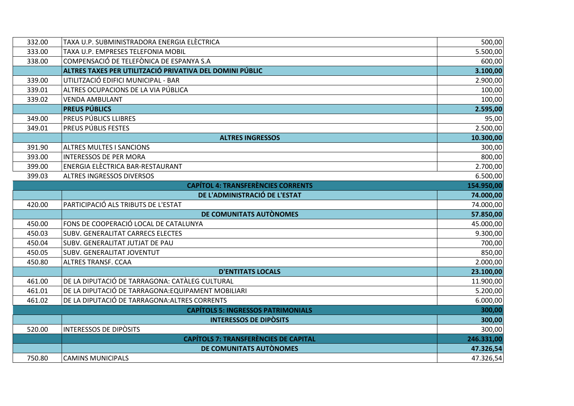| 332.00                                                  | TAXA U.P. SUBMINISTRADORA ENERGIA ELÈCTRICA              | 500,00     |  |  |
|---------------------------------------------------------|----------------------------------------------------------|------------|--|--|
| 333.00                                                  | TAXA U.P. EMPRESES TELEFONIA MOBIL                       | 5.500,00   |  |  |
| 338.00                                                  | COMPENSACIÓ DE TELEFÒNICA DE ESPANYA S.A                 | 600,00     |  |  |
|                                                         | ALTRES TAXES PER UTILITZACIÓ PRIVATIVA DEL DOMINI PÚBLIC | 3.100,00   |  |  |
| 339.00                                                  | UTILITZACIÓ EDIFICI MUNICIPAL - BAR                      | 2.900,00   |  |  |
| 339.01                                                  | ALTRES OCUPACIONS DE LA VIA PÚBLICA                      | 100,00     |  |  |
| 339.02                                                  | <b>VENDA AMBULANT</b>                                    | 100,00     |  |  |
|                                                         | <b>PREUS PÚBLICS</b>                                     | 2.595,00   |  |  |
| 349.00                                                  | PREUS PÚBLICS LLIBRES                                    | 95,00      |  |  |
| 349.01                                                  | <b>PREUS PÚBLIS FESTES</b>                               | 2.500,00   |  |  |
|                                                         | <b>ALTRES INGRESSOS</b>                                  | 10.300,00  |  |  |
| 391.90                                                  | <b>ALTRES MULTES I SANCIONS</b>                          | 300,00     |  |  |
| 393.00                                                  | <b>INTERESSOS DE PER MORA</b>                            | 800,00     |  |  |
| 399.00                                                  | ENERGIA ELECTRICA BAR-RESTAURANT                         | 2.700,00   |  |  |
| 399.03                                                  | <b>ALTRES INGRESSOS DIVERSOS</b>                         | 6.500,00   |  |  |
| <b>CAPÍTOL 4: TRANSFERÈNCIES CORRENTS</b><br>154.950,00 |                                                          |            |  |  |
|                                                         | DE L'ADMINISTRACIÓ DE L'ESTAT                            | 74.000,00  |  |  |
| 420.00                                                  | PARTICIPACIÓ ALS TRIBUTS DE L'ESTAT                      | 74.000,00  |  |  |
|                                                         | DE COMUNITATS AUTÒNOMES                                  | 57.850,00  |  |  |
| 450.00                                                  | FONS DE COOPERACIÓ LOCAL DE CATALUNYA                    | 45.000,00  |  |  |
| 450.03                                                  | <b>SUBV. GENERALITAT CARRECS ELECTES</b>                 | 9.300,00   |  |  |
| 450.04                                                  | SUBV. GENERALITAT JUTJAT DE PAU                          | 700,00     |  |  |
| 450.05                                                  | <b>SUBV. GENERALITAT JOVENTUT</b>                        | 850,00     |  |  |
| 450.80                                                  | <b>ALTRES TRANSF. CCAA</b>                               | 2.000,00   |  |  |
|                                                         | <b>D'ENTITATS LOCALS</b>                                 | 23.100,00  |  |  |
| 461.00                                                  | DE LA DIPUTACIÓ DE TARRAGONA: CATÀLEG CULTURAL           | 11.900,00  |  |  |
| 461.01                                                  | DE LA DIPUTACIÓ DE TARRAGONA: EQUIPAMENT MOBILIARI       | 5.200,00   |  |  |
| 461.02                                                  | DE LA DIPUTACIÓ DE TARRAGONA: ALTRES CORRENTS            | 6.000,00   |  |  |
| <b>CAPÍTOLS 5: INGRESSOS PATRIMONIALS</b><br>300,00     |                                                          |            |  |  |
|                                                         | <b>INTERESSOS DE DIPÒSITS</b>                            | 300,00     |  |  |
| 520.00                                                  | <b>INTERESSOS DE DIPÒSITS</b>                            | 300,00     |  |  |
|                                                         | <b>CAPÍTOLS 7: TRANSFERÈNCIES DE CAPITAL</b>             | 246.331,00 |  |  |
|                                                         | DE COMUNITATS AUTÒNOMES                                  | 47.326,54  |  |  |
| 750.80                                                  | <b>CAMINS MUNICIPALS</b>                                 | 47.326,54  |  |  |